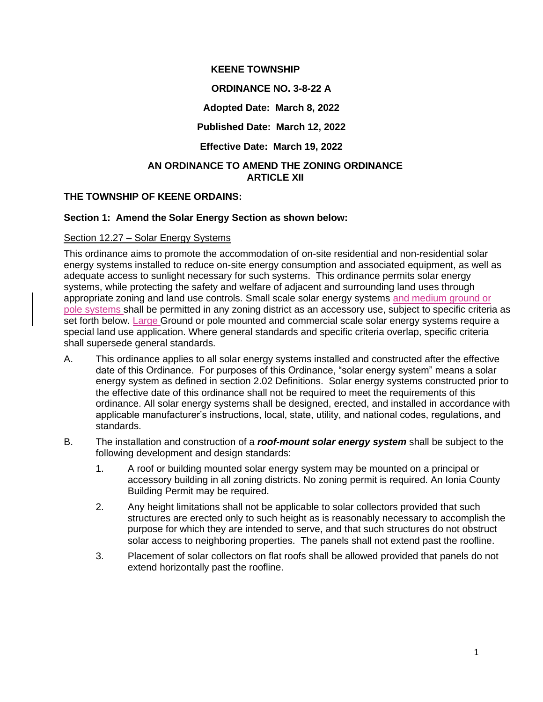## **KEENE TOWNSHIP**

## **ORDINANCE NO. 3-8-22 A**

#### **Adopted Date: March 8, 2022**

#### **Published Date: March 12, 2022**

# **Effective Date: March 19, 2022**

## **AN ORDINANCE TO AMEND THE ZONING ORDINANCE ARTICLE XII**

#### **THE TOWNSHIP OF KEENE ORDAINS:**

#### **Section 1: Amend the Solar Energy Section as shown below:**

#### Section 12.27 – Solar Energy Systems

This ordinance aims to promote the accommodation of on-site residential and non-residential solar energy systems installed to reduce on-site energy consumption and associated equipment, as well as adequate access to sunlight necessary for such systems. This ordinance permits solar energy systems, while protecting the safety and welfare of adjacent and surrounding land uses through appropriate zoning and land use controls. Small scale solar energy systems and medium ground or pole systems shall be permitted in any zoning district as an accessory use, subject to specific criteria as set forth below. Large Ground or pole mounted and commercial scale solar energy systems require a special land use application. Where general standards and specific criteria overlap, specific criteria shall supersede general standards.

- A. This ordinance applies to all solar energy systems installed and constructed after the effective date of this Ordinance. For purposes of this Ordinance, "solar energy system" means a solar energy system as defined in section 2.02 Definitions. Solar energy systems constructed prior to the effective date of this ordinance shall not be required to meet the requirements of this ordinance. All solar energy systems shall be designed, erected, and installed in accordance with applicable manufacturer's instructions, local, state, utility, and national codes, regulations, and standards.
- B. The installation and construction of a *roof-mount solar energy system* shall be subject to the following development and design standards:
	- 1. A roof or building mounted solar energy system may be mounted on a principal or accessory building in all zoning districts. No zoning permit is required. An Ionia County Building Permit may be required.
	- 2. Any height limitations shall not be applicable to solar collectors provided that such structures are erected only to such height as is reasonably necessary to accomplish the purpose for which they are intended to serve, and that such structures do not obstruct solar access to neighboring properties. The panels shall not extend past the roofline.
	- 3. Placement of solar collectors on flat roofs shall be allowed provided that panels do not extend horizontally past the roofline.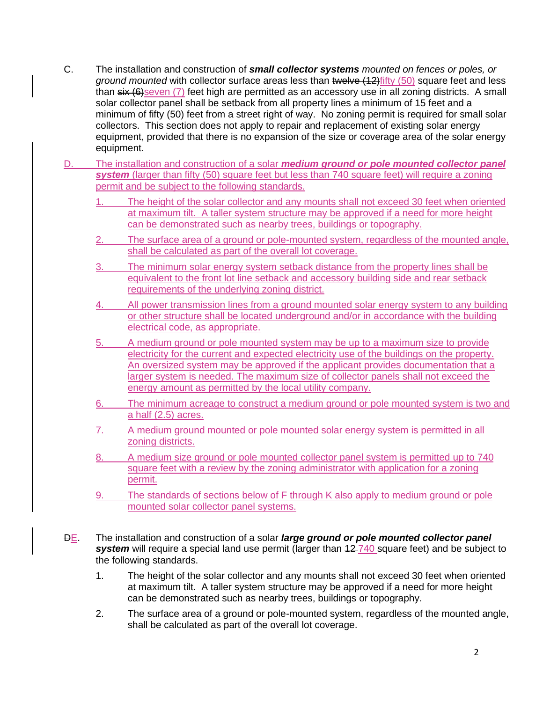- C. The installation and construction of *small collector systems mounted on fences or poles, or ground mounted* with collector surface areas less than twelve (12)fifty (50) square feet and less than  $s$ ix  $(6)$ seven  $(7)$  feet high are permitted as an accessory use in all zoning districts. A small solar collector panel shall be setback from all property lines a minimum of 15 feet and a minimum of fifty (50) feet from a street right of way. No zoning permit is required for small solar collectors. This section does not apply to repair and replacement of existing solar energy equipment, provided that there is no expansion of the size or coverage area of the solar energy equipment.
- D. The installation and construction of a solar *medium ground or pole mounted collector panel*  **system** (larger than fifty (50) square feet but less than 740 square feet) will require a zoning permit and be subject to the following standards.
	- 1. The height of the solar collector and any mounts shall not exceed 30 feet when oriented at maximum tilt. A taller system structure may be approved if a need for more height can be demonstrated such as nearby trees, buildings or topography.
	- 2. The surface area of a ground or pole-mounted system, regardless of the mounted angle, shall be calculated as part of the overall lot coverage.
	- 3. The minimum solar energy system setback distance from the property lines shall be equivalent to the front lot line setback and accessory building side and rear setback requirements of the underlying zoning district.
	- All power transmission lines from a ground mounted solar energy system to any building or other structure shall be located underground and/or in accordance with the building electrical code, as appropriate.
	- 5. A medium ground or pole mounted system may be up to a maximum size to provide electricity for the current and expected electricity use of the buildings on the property. An oversized system may be approved if the applicant provides documentation that a larger system is needed. The maximum size of collector panels shall not exceed the energy amount as permitted by the local utility company.
	- 6. The minimum acreage to construct a medium ground or pole mounted system is two and a half (2.5) acres.
	- 7. A medium ground mounted or pole mounted solar energy system is permitted in all zoning districts.
	- 8. A medium size ground or pole mounted collector panel system is permitted up to 740 square feet with a review by the zoning administrator with application for a zoning permit.
	- 9. The standards of sections below of F through K also apply to medium ground or pole mounted solar collector panel systems.
- DE. The installation and construction of a solar *large ground or pole mounted collector panel*  **system** will require a special land use permit (larger than  $12-740$  square feet) and be subject to the following standards.
	- 1. The height of the solar collector and any mounts shall not exceed 30 feet when oriented at maximum tilt. A taller system structure may be approved if a need for more height can be demonstrated such as nearby trees, buildings or topography.
	- 2. The surface area of a ground or pole-mounted system, regardless of the mounted angle, shall be calculated as part of the overall lot coverage.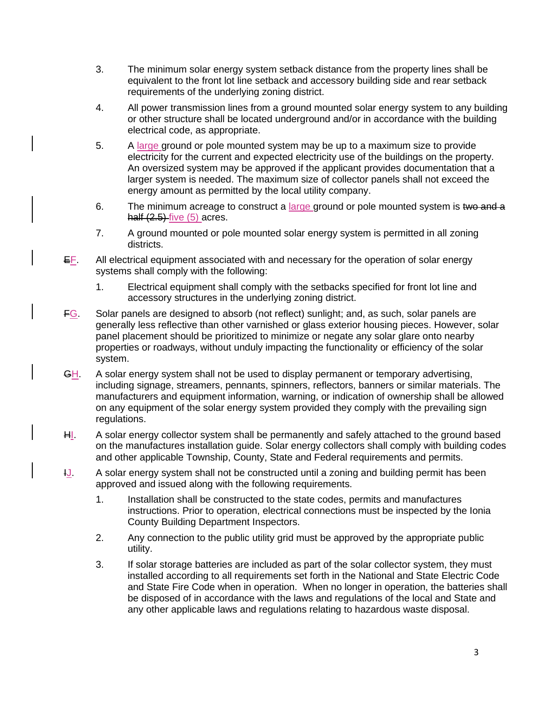- 3. The minimum solar energy system setback distance from the property lines shall be equivalent to the front lot line setback and accessory building side and rear setback requirements of the underlying zoning district.
- 4. All power transmission lines from a ground mounted solar energy system to any building or other structure shall be located underground and/or in accordance with the building electrical code, as appropriate.
- 5. A large ground or pole mounted system may be up to a maximum size to provide electricity for the current and expected electricity use of the buildings on the property. An oversized system may be approved if the applicant provides documentation that a larger system is needed. The maximum size of collector panels shall not exceed the energy amount as permitted by the local utility company.
- 6. The minimum acreage to construct a large ground or pole mounted system is two and a half (2.5) five (5) acres.
- 7. A ground mounted or pole mounted solar energy system is permitted in all zoning districts.
- EF. All electrical equipment associated with and necessary for the operation of solar energy systems shall comply with the following:
	- 1. Electrical equipment shall comply with the setbacks specified for front lot line and accessory structures in the underlying zoning district.
- FG. Solar panels are designed to absorb (not reflect) sunlight; and, as such, solar panels are generally less reflective than other varnished or glass exterior housing pieces. However, solar panel placement should be prioritized to minimize or negate any solar glare onto nearby properties or roadways, without unduly impacting the functionality or efficiency of the solar system.
- GH. A solar energy system shall not be used to display permanent or temporary advertising, including signage, streamers, pennants, spinners, reflectors, banners or similar materials. The manufacturers and equipment information, warning, or indication of ownership shall be allowed on any equipment of the solar energy system provided they comply with the prevailing sign regulations.
- HI. A solar energy collector system shall be permanently and safely attached to the ground based on the manufactures installation guide. Solar energy collectors shall comply with building codes and other applicable Township, County, State and Federal requirements and permits.
- $I_{\text{L}}$ . A solar energy system shall not be constructed until a zoning and building permit has been approved and issued along with the following requirements.
	- 1. Installation shall be constructed to the state codes, permits and manufactures instructions. Prior to operation, electrical connections must be inspected by the Ionia County Building Department Inspectors.
	- 2. Any connection to the public utility grid must be approved by the appropriate public utility.
	- 3. If solar storage batteries are included as part of the solar collector system, they must installed according to all requirements set forth in the National and State Electric Code and State Fire Code when in operation. When no longer in operation, the batteries shall be disposed of in accordance with the laws and regulations of the local and State and any other applicable laws and regulations relating to hazardous waste disposal.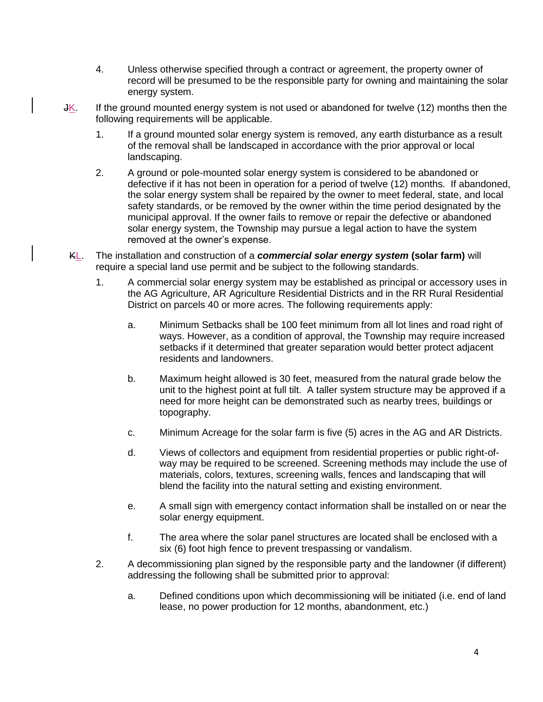- 4. Unless otherwise specified through a contract or agreement, the property owner of record will be presumed to be the responsible party for owning and maintaining the solar energy system.
- JK. If the ground mounted energy system is not used or abandoned for twelve (12) months then the following requirements will be applicable.
	- 1. If a ground mounted solar energy system is removed, any earth disturbance as a result of the removal shall be landscaped in accordance with the prior approval or local landscaping.
	- 2. A ground or pole-mounted solar energy system is considered to be abandoned or defective if it has not been in operation for a period of twelve (12) months. If abandoned, the solar energy system shall be repaired by the owner to meet federal, state, and local safety standards, or be removed by the owner within the time period designated by the municipal approval. If the owner fails to remove or repair the defective or abandoned solar energy system, the Township may pursue a legal action to have the system removed at the owner's expense.
- KL. The installation and construction of a *commercial solar energy system* **(solar farm)** will require a special land use permit and be subject to the following standards.
	- 1. A commercial solar energy system may be established as principal or accessory uses in the AG Agriculture, AR Agriculture Residential Districts and in the RR Rural Residential District on parcels 40 or more acres. The following requirements apply:
		- a. Minimum Setbacks shall be 100 feet minimum from all lot lines and road right of ways. However, as a condition of approval, the Township may require increased setbacks if it determined that greater separation would better protect adjacent residents and landowners.
		- b. Maximum height allowed is 30 feet, measured from the natural grade below the unit to the highest point at full tilt. A taller system structure may be approved if a need for more height can be demonstrated such as nearby trees, buildings or topography.
		- c. Minimum Acreage for the solar farm is five (5) acres in the AG and AR Districts.
		- d. Views of collectors and equipment from residential properties or public right-ofway may be required to be screened. Screening methods may include the use of materials, colors, textures, screening walls, fences and landscaping that will blend the facility into the natural setting and existing environment.
		- e. A small sign with emergency contact information shall be installed on or near the solar energy equipment.
		- f. The area where the solar panel structures are located shall be enclosed with a six (6) foot high fence to prevent trespassing or vandalism.
	- 2. A decommissioning plan signed by the responsible party and the landowner (if different) addressing the following shall be submitted prior to approval:
		- a. Defined conditions upon which decommissioning will be initiated (i.e. end of land lease, no power production for 12 months, abandonment, etc.)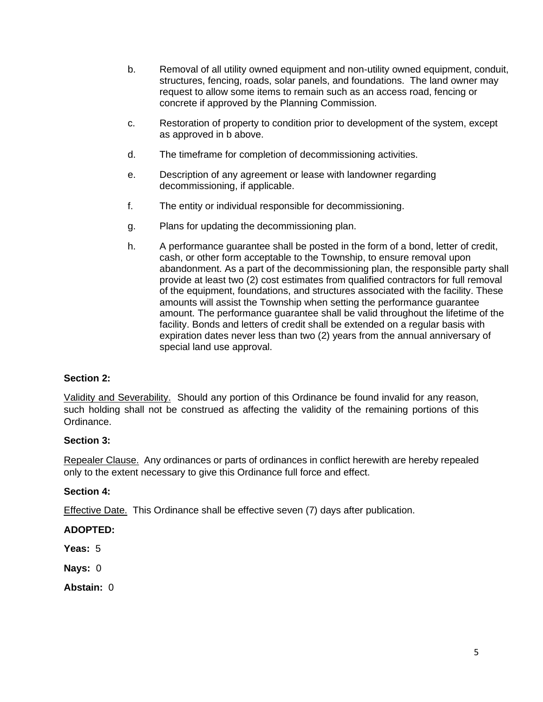- b. Removal of all utility owned equipment and non-utility owned equipment, conduit, structures, fencing, roads, solar panels, and foundations. The land owner may request to allow some items to remain such as an access road, fencing or concrete if approved by the Planning Commission.
- c. Restoration of property to condition prior to development of the system, except as approved in b above.
- d. The timeframe for completion of decommissioning activities.
- e. Description of any agreement or lease with landowner regarding decommissioning, if applicable.
- f. The entity or individual responsible for decommissioning.
- g. Plans for updating the decommissioning plan.
- h. A performance guarantee shall be posted in the form of a bond, letter of credit, cash, or other form acceptable to the Township, to ensure removal upon abandonment. As a part of the decommissioning plan, the responsible party shall provide at least two (2) cost estimates from qualified contractors for full removal of the equipment, foundations, and structures associated with the facility. These amounts will assist the Township when setting the performance guarantee amount. The performance guarantee shall be valid throughout the lifetime of the facility. Bonds and letters of credit shall be extended on a regular basis with expiration dates never less than two (2) years from the annual anniversary of special land use approval.

# **Section 2:**

Validity and Severability. Should any portion of this Ordinance be found invalid for any reason, such holding shall not be construed as affecting the validity of the remaining portions of this Ordinance.

# **Section 3:**

Repealer Clause. Any ordinances or parts of ordinances in conflict herewith are hereby repealed only to the extent necessary to give this Ordinance full force and effect.

# **Section 4:**

Effective Date. This Ordinance shall be effective seven (7) days after publication.

# **ADOPTED:**

**Yeas:** 5

**Nays:** 0

**Abstain:** 0